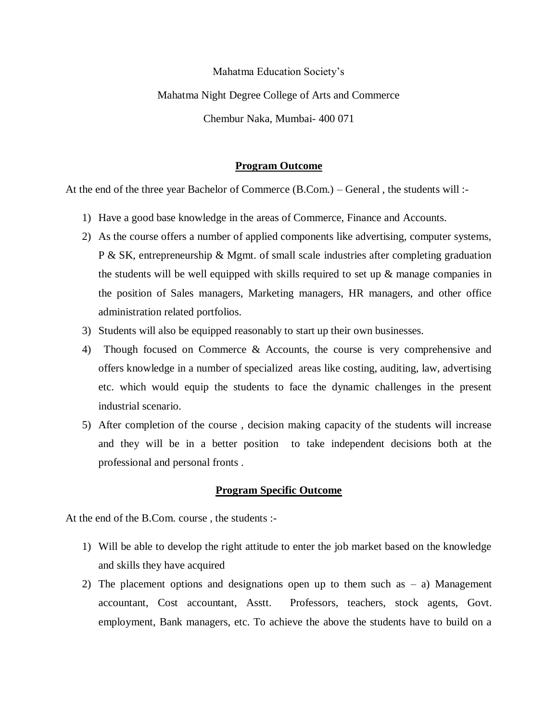### Mahatma Education Society's

## Mahatma Night Degree College of Arts and Commerce

Chembur Naka, Mumbai- 400 071

#### **Program Outcome**

At the end of the three year Bachelor of Commerce (B.Com.) – General , the students will :-

- 1) Have a good base knowledge in the areas of Commerce, Finance and Accounts.
- 2) As the course offers a number of applied components like advertising, computer systems, P & SK, entrepreneurship & Mgmt. of small scale industries after completing graduation the students will be well equipped with skills required to set up  $\&$  manage companies in the position of Sales managers, Marketing managers, HR managers, and other office administration related portfolios.
- 3) Students will also be equipped reasonably to start up their own businesses.
- 4) Though focused on Commerce & Accounts, the course is very comprehensive and offers knowledge in a number of specialized areas like costing, auditing, law, advertising etc. which would equip the students to face the dynamic challenges in the present industrial scenario.
- 5) After completion of the course , decision making capacity of the students will increase and they will be in a better position to take independent decisions both at the professional and personal fronts .

## **Program Specific Outcome**

At the end of the B.Com. course , the students :-

- 1) Will be able to develop the right attitude to enter the job market based on the knowledge and skills they have acquired
- 2) The placement options and designations open up to them such as  $-$  a) Management accountant, Cost accountant, Asstt. Professors, teachers, stock agents, Govt. employment, Bank managers, etc. To achieve the above the students have to build on a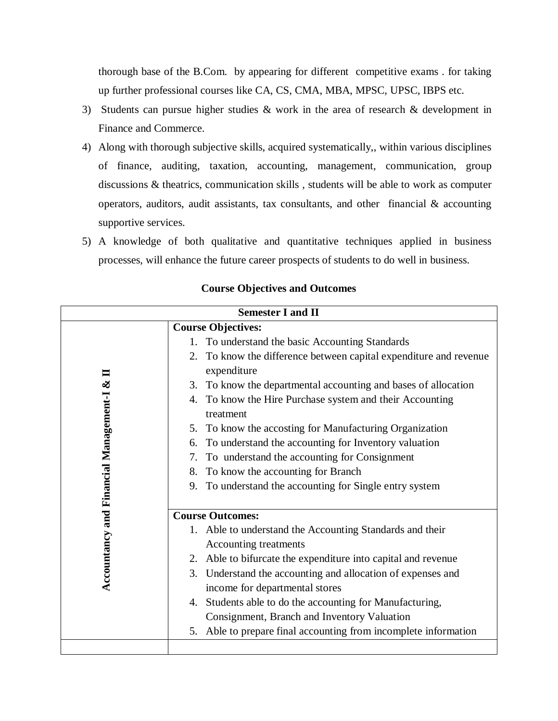thorough base of the B.Com. by appearing for different competitive exams . for taking up further professional courses like CA, CS, CMA, MBA, MPSC, UPSC, IBPS etc.

- 3) Students can pursue higher studies & work in the area of research & development in Finance and Commerce.
- 4) Along with thorough subjective skills, acquired systematically,, within various disciplines of finance, auditing, taxation, accounting, management, communication, group discussions & theatrics, communication skills , students will be able to work as computer operators, auditors, audit assistants, tax consultants, and other financial  $\&$  accounting supportive services.
- 5) A knowledge of both qualitative and quantitative techniques applied in business processes, will enhance the future career prospects of students to do well in business.

| <b>Semester I and II</b>                 |                                                                                      |  |
|------------------------------------------|--------------------------------------------------------------------------------------|--|
| <b>Course Objectives:</b>                |                                                                                      |  |
|                                          | To understand the basic Accounting Standards<br>1.                                   |  |
| $\blacksquare$                           | To know the difference between capital expenditure and revenue<br>2.<br>expenditure  |  |
|                                          | 3. To know the departmental accounting and bases of allocation                       |  |
|                                          | 4. To know the Hire Purchase system and their Accounting<br>treatment                |  |
|                                          | 5. To know the accosting for Manufacturing Organization                              |  |
|                                          | To understand the accounting for Inventory valuation<br>6.                           |  |
|                                          | To understand the accounting for Consignment<br>7.                                   |  |
|                                          | To know the accounting for Branch<br>8.                                              |  |
|                                          | To understand the accounting for Single entry system<br>9.                           |  |
|                                          | <b>Course Outcomes:</b>                                                              |  |
| Accountancy and Financial Management-I & | Able to understand the Accounting Standards and their<br>1.<br>Accounting treatments |  |
|                                          | 2. Able to bifurcate the expenditure into capital and revenue                        |  |
|                                          | 3. Understand the accounting and allocation of expenses and                          |  |
|                                          | income for departmental stores                                                       |  |
|                                          | Students able to do the accounting for Manufacturing,<br>4.                          |  |
|                                          | Consignment, Branch and Inventory Valuation                                          |  |
|                                          | Able to prepare final accounting from incomplete information<br>5.                   |  |
|                                          |                                                                                      |  |

# **Course Objectives and Outcomes**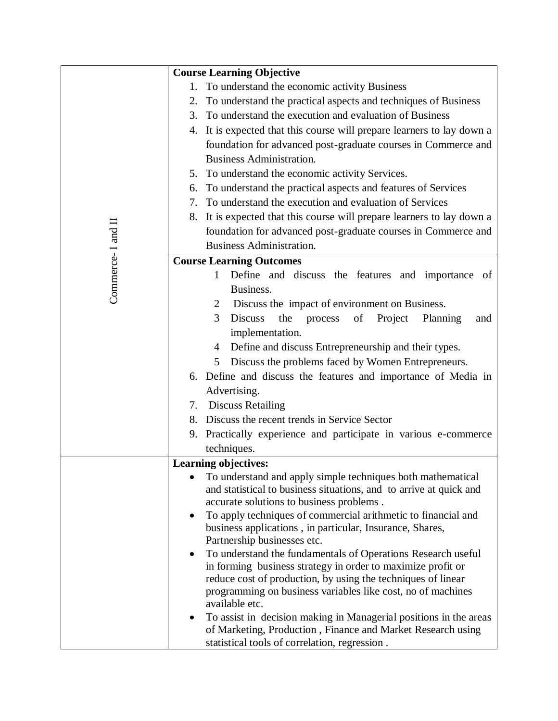|                   | <b>Course Learning Objective</b>                                                                                                 |  |
|-------------------|----------------------------------------------------------------------------------------------------------------------------------|--|
|                   | To understand the economic activity Business<br>1.                                                                               |  |
|                   | 2. To understand the practical aspects and techniques of Business                                                                |  |
|                   | 3. To understand the execution and evaluation of Business                                                                        |  |
|                   | 4. It is expected that this course will prepare learners to lay down a                                                           |  |
|                   | foundation for advanced post-graduate courses in Commerce and                                                                    |  |
|                   | <b>Business Administration.</b>                                                                                                  |  |
|                   | 5. To understand the economic activity Services.                                                                                 |  |
|                   | To understand the practical aspects and features of Services<br>6.                                                               |  |
|                   | 7. To understand the execution and evaluation of Services                                                                        |  |
|                   | 8. It is expected that this course will prepare learners to lay down a                                                           |  |
|                   | foundation for advanced post-graduate courses in Commerce and                                                                    |  |
|                   | <b>Business Administration.</b>                                                                                                  |  |
| Commerce-I and II | <b>Course Learning Outcomes</b>                                                                                                  |  |
|                   | Define and discuss the features and importance of<br>1                                                                           |  |
|                   | Business.                                                                                                                        |  |
|                   | Discuss the impact of environment on Business.<br>2                                                                              |  |
|                   | <b>Discuss</b><br>the<br>of<br>3<br>process<br>Project<br>Planning<br>and                                                        |  |
|                   | implementation.                                                                                                                  |  |
|                   | 4 Define and discuss Entrepreneurship and their types.                                                                           |  |
|                   | Discuss the problems faced by Women Entrepreneurs.<br>5                                                                          |  |
|                   | 6. Define and discuss the features and importance of Media in                                                                    |  |
|                   | Advertising.                                                                                                                     |  |
|                   | 7. Discuss Retailing                                                                                                             |  |
|                   | 8. Discuss the recent trends in Service Sector                                                                                   |  |
|                   | 9. Practically experience and participate in various e-commerce                                                                  |  |
|                   | techniques.                                                                                                                      |  |
|                   | Learning objectives:                                                                                                             |  |
|                   | To understand and apply simple techniques both mathematical                                                                      |  |
|                   | and statistical to business situations, and to arrive at quick and                                                               |  |
|                   | accurate solutions to business problems.                                                                                         |  |
|                   | To apply techniques of commercial arithmetic to financial and<br>$\bullet$                                                       |  |
|                   | business applications, in particular, Insurance, Shares,                                                                         |  |
|                   | Partnership businesses etc.                                                                                                      |  |
|                   | To understand the fundamentals of Operations Research useful<br>٠<br>in forming business strategy in order to maximize profit or |  |
|                   | reduce cost of production, by using the techniques of linear                                                                     |  |
|                   | programming on business variables like cost, no of machines                                                                      |  |
|                   | available etc.                                                                                                                   |  |
|                   | To assist in decision making in Managerial positions in the areas<br>٠                                                           |  |
|                   | of Marketing, Production, Finance and Market Research using                                                                      |  |
|                   | statistical tools of correlation, regression.                                                                                    |  |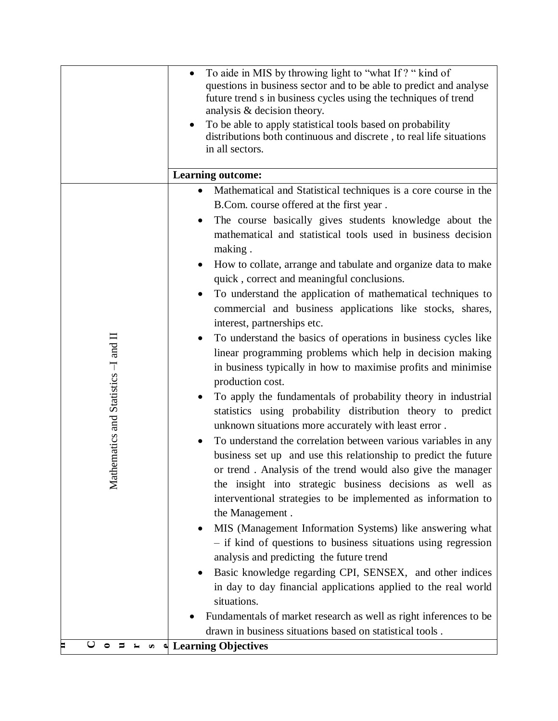|                                                            | To aide in MIS by throwing light to "what If?" kind of<br>$\bullet$<br>questions in business sector and to be able to predict and analyse<br>future trend s in business cycles using the techniques of trend<br>analysis & decision theory.<br>To be able to apply statistical tools based on probability<br>distributions both continuous and discrete, to real life situations<br>in all sectors.                                                                                                                                                                                                                                                                                                                                                                                                                                                                                                                                                                                                                                                                                                                                                                                                                                                                                                                                                                                                                                                                                                                                                                                                                                                                                                                                                                            |
|------------------------------------------------------------|--------------------------------------------------------------------------------------------------------------------------------------------------------------------------------------------------------------------------------------------------------------------------------------------------------------------------------------------------------------------------------------------------------------------------------------------------------------------------------------------------------------------------------------------------------------------------------------------------------------------------------------------------------------------------------------------------------------------------------------------------------------------------------------------------------------------------------------------------------------------------------------------------------------------------------------------------------------------------------------------------------------------------------------------------------------------------------------------------------------------------------------------------------------------------------------------------------------------------------------------------------------------------------------------------------------------------------------------------------------------------------------------------------------------------------------------------------------------------------------------------------------------------------------------------------------------------------------------------------------------------------------------------------------------------------------------------------------------------------------------------------------------------------|
|                                                            | <b>Learning outcome:</b>                                                                                                                                                                                                                                                                                                                                                                                                                                                                                                                                                                                                                                                                                                                                                                                                                                                                                                                                                                                                                                                                                                                                                                                                                                                                                                                                                                                                                                                                                                                                                                                                                                                                                                                                                       |
| hematics and Statistics -I and II<br>$\rm \overline{M}$ at | Mathematical and Statistical techniques is a core course in the<br>B.Com. course offered at the first year.<br>The course basically gives students knowledge about the<br>$\bullet$<br>mathematical and statistical tools used in business decision<br>making.<br>How to collate, arrange and tabulate and organize data to make<br>$\bullet$<br>quick, correct and meaningful conclusions.<br>To understand the application of mathematical techniques to<br>commercial and business applications like stocks, shares,<br>interest, partnerships etc.<br>To understand the basics of operations in business cycles like<br>linear programming problems which help in decision making<br>in business typically in how to maximise profits and minimise<br>production cost.<br>To apply the fundamentals of probability theory in industrial<br>statistics using probability distribution theory to predict<br>unknown situations more accurately with least error.<br>To understand the correlation between various variables in any<br>business set up and use this relationship to predict the future<br>or trend. Analysis of the trend would also give the manager<br>the insight into strategic business decisions as well as<br>interventional strategies to be implemented as information to<br>the Management.<br>MIS (Management Information Systems) like answering what<br>- if kind of questions to business situations using regression<br>analysis and predicting the future trend<br>Basic knowledge regarding CPI, SENSEX, and other indices<br>in day to day financial applications applied to the real world<br>situations.<br>Fundamentals of market research as well as right inferences to be<br>drawn in business situations based on statistical tools. |
| $\cup$<br>$O$ $\Rightarrow$ $L$                            | ∞ ↓ Learning Objectives                                                                                                                                                                                                                                                                                                                                                                                                                                                                                                                                                                                                                                                                                                                                                                                                                                                                                                                                                                                                                                                                                                                                                                                                                                                                                                                                                                                                                                                                                                                                                                                                                                                                                                                                                        |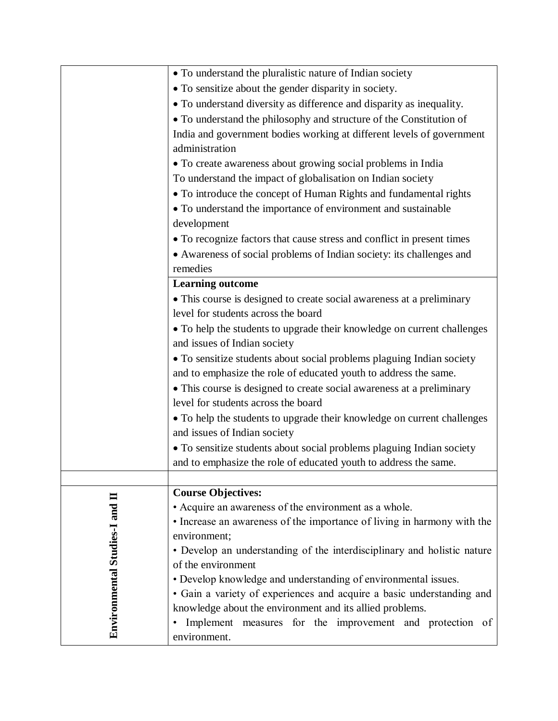|                                | • To understand the pluralistic nature of Indian society                |
|--------------------------------|-------------------------------------------------------------------------|
|                                | • To sensitize about the gender disparity in society.                   |
|                                | • To understand diversity as difference and disparity as inequality.    |
|                                | • To understand the philosophy and structure of the Constitution of     |
|                                | India and government bodies working at different levels of government   |
|                                | administration                                                          |
|                                | • To create awareness about growing social problems in India            |
|                                | To understand the impact of globalisation on Indian society             |
|                                | • To introduce the concept of Human Rights and fundamental rights       |
|                                | • To understand the importance of environment and sustainable           |
|                                | development                                                             |
|                                | • To recognize factors that cause stress and conflict in present times  |
|                                | • Awareness of social problems of Indian society: its challenges and    |
|                                | remedies                                                                |
|                                | <b>Learning outcome</b>                                                 |
|                                | • This course is designed to create social awareness at a preliminary   |
|                                | level for students across the board                                     |
|                                | • To help the students to upgrade their knowledge on current challenges |
|                                | and issues of Indian society                                            |
|                                | · To sensitize students about social problems plaguing Indian society   |
|                                | and to emphasize the role of educated youth to address the same.        |
|                                | • This course is designed to create social awareness at a preliminary   |
|                                | level for students across the board                                     |
|                                | • To help the students to upgrade their knowledge on current challenges |
|                                | and issues of Indian society                                            |
|                                | • To sensitize students about social problems plaguing Indian society   |
|                                | and to emphasize the role of educated youth to address the same.        |
|                                |                                                                         |
|                                | <b>Course Objectives:</b>                                               |
|                                | • Acquire an awareness of the environment as a whole.                   |
|                                | • Increase an awareness of the importance of living in harmony with the |
|                                | environment;                                                            |
|                                | • Develop an understanding of the interdisciplinary and holistic nature |
|                                | of the environment                                                      |
|                                | • Develop knowledge and understanding of environmental issues.          |
|                                | • Gain a variety of experiences and acquire a basic understanding and   |
|                                | knowledge about the environment and its allied problems.                |
| Environmental Studies-I and II | Implement measures for the improvement and protection of                |
|                                | environment.                                                            |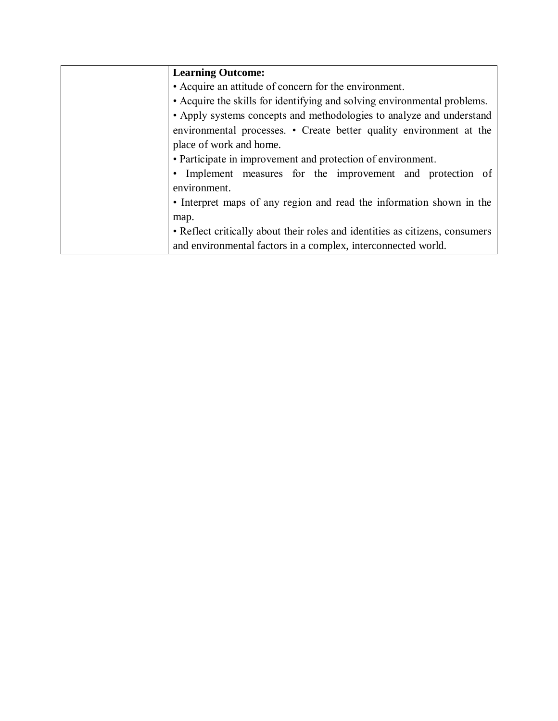| <b>Learning Outcome:</b>                                                     |
|------------------------------------------------------------------------------|
| • Acquire an attitude of concern for the environment.                        |
| • Acquire the skills for identifying and solving environmental problems.     |
| • Apply systems concepts and methodologies to analyze and understand         |
| environmental processes. • Create better quality environment at the          |
| place of work and home.                                                      |
| • Participate in improvement and protection of environment.                  |
| Implement measures for the improvement and protection of<br>$\bullet$        |
| environment.                                                                 |
| • Interpret maps of any region and read the information shown in the         |
| map.                                                                         |
| • Reflect critically about their roles and identities as citizens, consumers |
| and environmental factors in a complex, interconnected world.                |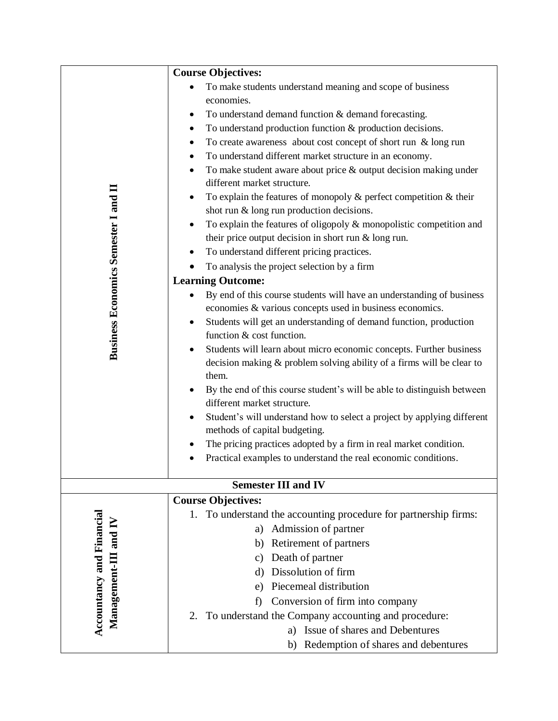|                                                    | <b>Course Objectives:</b>                                                                                                                        |
|----------------------------------------------------|--------------------------------------------------------------------------------------------------------------------------------------------------|
|                                                    | To make students understand meaning and scope of business<br>$\bullet$                                                                           |
|                                                    | economies.                                                                                                                                       |
|                                                    | To understand demand function & demand forecasting.<br>٠                                                                                         |
|                                                    | To understand production function & production decisions.<br>$\bullet$                                                                           |
|                                                    | To create awareness about cost concept of short run $\&$ long run<br>$\bullet$                                                                   |
|                                                    | To understand different market structure in an economy.<br>$\bullet$                                                                             |
|                                                    | To make student aware about price & output decision making under<br>$\bullet$                                                                    |
|                                                    | different market structure.                                                                                                                      |
|                                                    | To explain the features of monopoly $\&$ perfect competition $\&$ their<br>$\bullet$                                                             |
|                                                    | shot run & long run production decisions.                                                                                                        |
|                                                    | To explain the features of oligopoly & monopolistic competition and<br>$\bullet$                                                                 |
|                                                    | their price output decision in short run $&$ long run.                                                                                           |
|                                                    | To understand different pricing practices.<br>٠                                                                                                  |
|                                                    | To analysis the project selection by a firm                                                                                                      |
| <b>Business Economics Semester I and II</b>        | <b>Learning Outcome:</b>                                                                                                                         |
|                                                    | By end of this course students will have an understanding of business<br>٠                                                                       |
|                                                    | economies & various concepts used in business economics.                                                                                         |
|                                                    | Students will get an understanding of demand function, production<br>$\bullet$                                                                   |
|                                                    | function & cost function.                                                                                                                        |
|                                                    | Students will learn about micro economic concepts. Further business<br>$\bullet$                                                                 |
|                                                    | decision making & problem solving ability of a firms will be clear to                                                                            |
|                                                    | them.                                                                                                                                            |
|                                                    | By the end of this course student's will be able to distinguish between                                                                          |
|                                                    | different market structure.                                                                                                                      |
|                                                    | Student's will understand how to select a project by applying different<br>$\bullet$                                                             |
|                                                    | methods of capital budgeting.                                                                                                                    |
|                                                    | The pricing practices adopted by a firm in real market condition.<br>$\bullet$<br>Practical examples to understand the real economic conditions. |
|                                                    |                                                                                                                                                  |
|                                                    | <b>Semester III and IV</b>                                                                                                                       |
|                                                    | <b>Course Objectives:</b>                                                                                                                        |
|                                                    | To understand the accounting procedure for partnership firms:<br>1.                                                                              |
|                                                    | Admission of partner<br>a)                                                                                                                       |
|                                                    | Retirement of partners<br>b)                                                                                                                     |
|                                                    | Death of partner<br>C)                                                                                                                           |
|                                                    | Dissolution of firm<br>d)                                                                                                                        |
|                                                    | Piecemeal distribution<br>e)                                                                                                                     |
| Accountancy and Financial<br>Management-III and IV | Conversion of firm into company<br>f)                                                                                                            |
|                                                    | 2. To understand the Company accounting and procedure:                                                                                           |
|                                                    | Issue of shares and Debentures                                                                                                                   |
|                                                    | b) Redemption of shares and debentures                                                                                                           |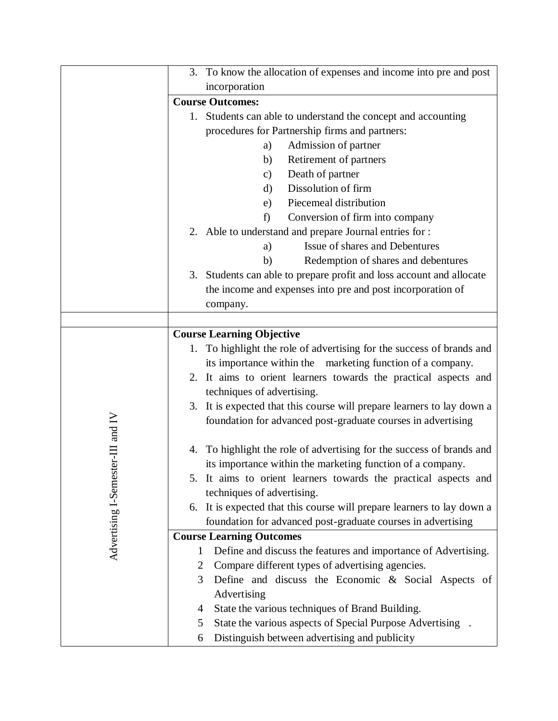|                                   | 3. To know the allocation of expenses and income into pre and post       |
|-----------------------------------|--------------------------------------------------------------------------|
|                                   | incorporation                                                            |
|                                   | <b>Course Outcomes:</b>                                                  |
|                                   | 1. Students can able to understand the concept and accounting            |
|                                   | procedures for Partnership firms and partners:                           |
|                                   | Admission of partner<br>a)                                               |
|                                   | Retirement of partners<br>b)                                             |
|                                   | Death of partner<br>$\mathbf{c})$                                        |
|                                   | Dissolution of firm<br>d)                                                |
|                                   | Piecemeal distribution<br>e)                                             |
|                                   | Conversion of firm into company<br>f)                                    |
|                                   | 2. Able to understand and prepare Journal entries for :                  |
|                                   | Issue of shares and Debentures<br>a)                                     |
|                                   | Redemption of shares and debentures<br>b)                                |
|                                   | Students can able to prepare profit and loss account and allocate<br>3.  |
|                                   | the income and expenses into pre and post incorporation of               |
|                                   | company.                                                                 |
|                                   |                                                                          |
|                                   | <b>Course Learning Objective</b>                                         |
|                                   | To highlight the role of advertising for the success of brands and<br>1. |
|                                   | its importance within the marketing function of a company.               |
|                                   | 2. It aims to orient learners towards the practical aspects and          |
|                                   | techniques of advertising.                                               |
|                                   | 3. It is expected that this course will prepare learners to lay down a   |
|                                   | foundation for advanced post-graduate courses in advertising             |
|                                   |                                                                          |
|                                   | To highlight the role of advertising for the success of brands and<br>4. |
|                                   | its importance within the marketing function of a company.               |
|                                   | 5. It aims to orient learners towards the practical aspects and          |
|                                   | techniques of advertising.                                               |
|                                   | 6. It is expected that this course will prepare learners to lay down a   |
|                                   | foundation for advanced post-graduate courses in advertising             |
| Advertising I-Semester-III and IV | <b>Course Learning Outcomes</b>                                          |
|                                   | Define and discuss the features and importance of Advertising.<br>1      |
|                                   | Compare different types of advertising agencies.<br>$\overline{2}$       |
|                                   | Define and discuss the Economic & Social Aspects of<br>3                 |
|                                   | Advertising                                                              |
|                                   | State the various techniques of Brand Building.<br>4                     |
|                                   | State the various aspects of Special Purpose Advertising .<br>5          |
|                                   | Distinguish between advertising and publicity<br>6                       |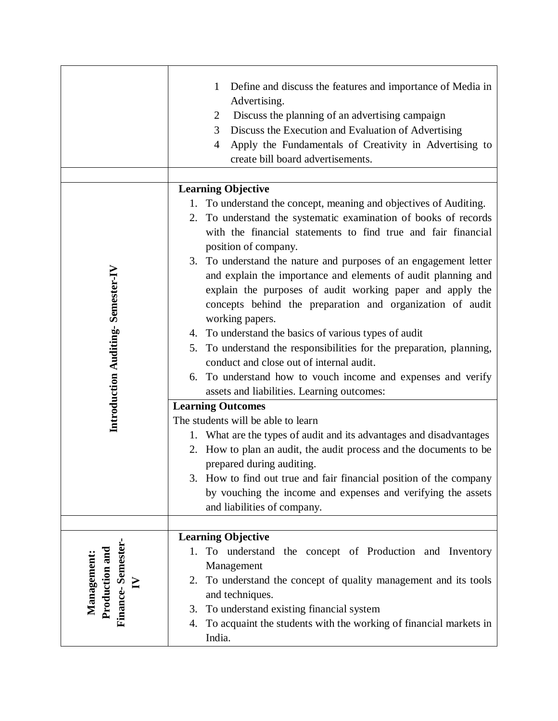|                                                                   | Define and discuss the features and importance of Media in<br>1<br>Advertising.<br>Discuss the planning of an advertising campaign<br>$\overline{2}$<br>Discuss the Execution and Evaluation of Advertising<br>3<br>Apply the Fundamentals of Creativity in Advertising to<br>4<br>create bill board advertisements.                                                                                                                                                                                                                                                                                                                                                                                                                                         |
|-------------------------------------------------------------------|--------------------------------------------------------------------------------------------------------------------------------------------------------------------------------------------------------------------------------------------------------------------------------------------------------------------------------------------------------------------------------------------------------------------------------------------------------------------------------------------------------------------------------------------------------------------------------------------------------------------------------------------------------------------------------------------------------------------------------------------------------------|
|                                                                   | <b>Learning Objective</b>                                                                                                                                                                                                                                                                                                                                                                                                                                                                                                                                                                                                                                                                                                                                    |
| Introduction Auditing-Semester-IV                                 | 1. To understand the concept, meaning and objectives of Auditing.<br>2. To understand the systematic examination of books of records<br>with the financial statements to find true and fair financial<br>position of company.<br>3. To understand the nature and purposes of an engagement letter<br>and explain the importance and elements of audit planning and<br>explain the purposes of audit working paper and apply the<br>concepts behind the preparation and organization of audit<br>working papers.<br>4. To understand the basics of various types of audit<br>5. To understand the responsibilities for the preparation, planning,<br>conduct and close out of internal audit.<br>6. To understand how to vouch income and expenses and verify |
|                                                                   | assets and liabilities. Learning outcomes:                                                                                                                                                                                                                                                                                                                                                                                                                                                                                                                                                                                                                                                                                                                   |
|                                                                   | <b>Learning Outcomes</b><br>The students will be able to learn<br>1. What are the types of audit and its advantages and disadvantages                                                                                                                                                                                                                                                                                                                                                                                                                                                                                                                                                                                                                        |
|                                                                   | 2. How to plan an audit, the audit process and the documents to be<br>prepared during auditing.<br>3. How to find out true and fair financial position of the company<br>by vouching the income and expenses and verifying the assets<br>and liabilities of company.                                                                                                                                                                                                                                                                                                                                                                                                                                                                                         |
|                                                                   |                                                                                                                                                                                                                                                                                                                                                                                                                                                                                                                                                                                                                                                                                                                                                              |
| Finance-Semester-<br>Production and<br>Management<br>$\mathbf{N}$ | <b>Learning Objective</b><br>To understand the concept of Production and Inventory<br>1.<br>Management<br>To understand the concept of quality management and its tools<br>2.<br>and techniques.<br>To understand existing financial system<br>3.<br>To acquaint the students with the working of financial markets in<br>4.<br>India.                                                                                                                                                                                                                                                                                                                                                                                                                       |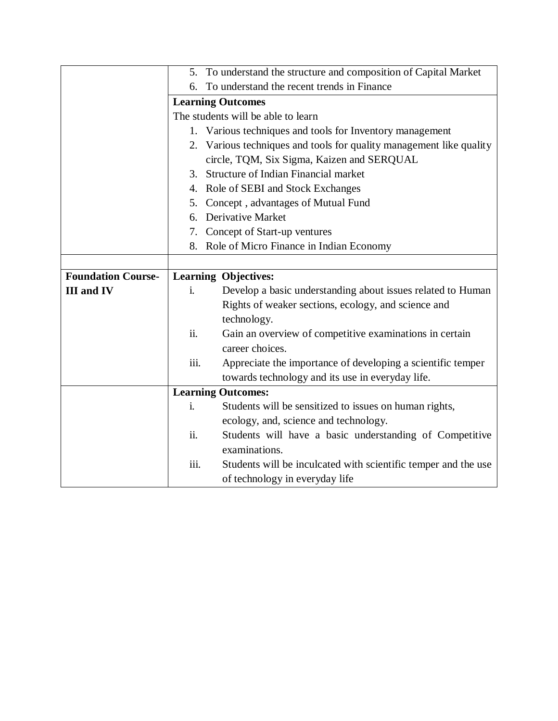|                           |                                    | 5. To understand the structure and composition of Capital Market    |  |
|---------------------------|------------------------------------|---------------------------------------------------------------------|--|
|                           | 6.                                 | To understand the recent trends in Finance                          |  |
|                           |                                    | <b>Learning Outcomes</b>                                            |  |
|                           | The students will be able to learn |                                                                     |  |
|                           |                                    | 1. Various techniques and tools for Inventory management            |  |
|                           |                                    | 2. Various techniques and tools for quality management like quality |  |
|                           |                                    | circle, TQM, Six Sigma, Kaizen and SERQUAL                          |  |
|                           |                                    | 3. Structure of Indian Financial market                             |  |
|                           |                                    | 4. Role of SEBI and Stock Exchanges                                 |  |
|                           | 5.                                 | Concept, advantages of Mutual Fund                                  |  |
|                           | 6.                                 | Derivative Market                                                   |  |
|                           |                                    | 7. Concept of Start-up ventures                                     |  |
|                           | 8.                                 | Role of Micro Finance in Indian Economy                             |  |
|                           |                                    |                                                                     |  |
| <b>Foundation Course-</b> |                                    | <b>Learning Objectives:</b>                                         |  |
| <b>III</b> and <b>IV</b>  | i.                                 | Develop a basic understanding about issues related to Human         |  |
|                           |                                    | Rights of weaker sections, ecology, and science and                 |  |
|                           |                                    | technology.                                                         |  |
|                           | ii.                                | Gain an overview of competitive examinations in certain             |  |
|                           |                                    | career choices.                                                     |  |
|                           | iii.                               | Appreciate the importance of developing a scientific temper         |  |
|                           |                                    | towards technology and its use in everyday life.                    |  |
|                           |                                    | <b>Learning Outcomes:</b>                                           |  |
|                           | i.                                 | Students will be sensitized to issues on human rights,              |  |
|                           |                                    | ecology, and, science and technology.                               |  |
|                           | ii.                                | Students will have a basic understanding of Competitive             |  |
|                           |                                    | examinations.                                                       |  |
|                           | iii.                               | Students will be inculcated with scientific temper and the use      |  |
|                           |                                    | of technology in everyday life                                      |  |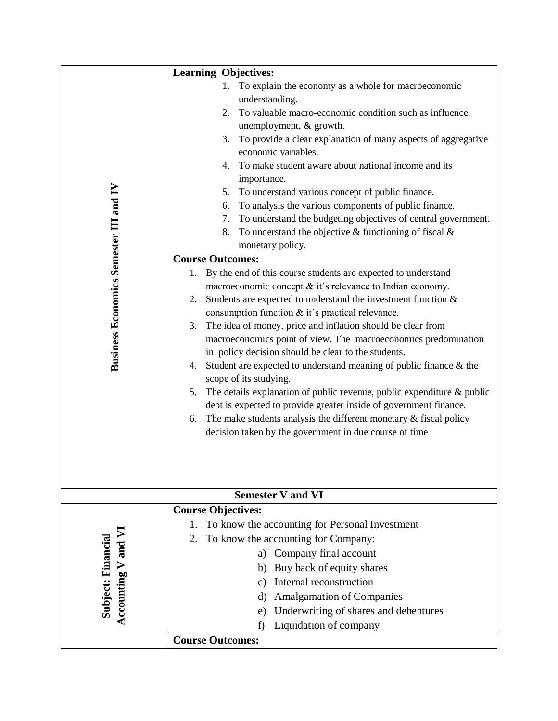|                                               | <b>Learning Objectives:</b>                                                                                                                                                                                                                                                                                                                                                                                                                                                                                                                                                                                                                                                                                                                                                                                                                                                                                                                                                                                                                                                                                                                                                                                                                                                                                                                                                                                                                                                                                                      |
|-----------------------------------------------|----------------------------------------------------------------------------------------------------------------------------------------------------------------------------------------------------------------------------------------------------------------------------------------------------------------------------------------------------------------------------------------------------------------------------------------------------------------------------------------------------------------------------------------------------------------------------------------------------------------------------------------------------------------------------------------------------------------------------------------------------------------------------------------------------------------------------------------------------------------------------------------------------------------------------------------------------------------------------------------------------------------------------------------------------------------------------------------------------------------------------------------------------------------------------------------------------------------------------------------------------------------------------------------------------------------------------------------------------------------------------------------------------------------------------------------------------------------------------------------------------------------------------------|
| <b>Business Economics Semester III and IV</b> | To explain the economy as a whole for macroeconomic<br>1.<br>understanding.<br>To valuable macro-economic condition such as influence,<br>2.<br>unemployment, & growth.<br>To provide a clear explanation of many aspects of aggregative<br>3.<br>economic variables.<br>To make student aware about national income and its<br>4.<br>importance.<br>To understand various concept of public finance.<br>5.<br>To analysis the various components of public finance.<br>6.<br>To understand the budgeting objectives of central government.<br>7.<br>To understand the objective $&$ functioning of fiscal $&$<br>8.<br>monetary policy.<br><b>Course Outcomes:</b><br>1. By the end of this course students are expected to understand<br>macroeconomic concept & it's relevance to Indian economy.<br>2. Students are expected to understand the investment function $\&$<br>consumption function & it's practical relevance.<br>The idea of money, price and inflation should be clear from<br>3.<br>macroeconomics point of view. The macroeconomics predomination<br>in policy decision should be clear to the students.<br>Student are expected to understand meaning of public finance $\&$ the<br>4.<br>scope of its studying.<br>The details explanation of public revenue, public expenditure & public<br>5.<br>debt is expected to provide greater inside of government finance.<br>6. The make students analysis the different monetary $\&$ fiscal policy<br>decision taken by the government in due course of time |
|                                               | <b>Semester V and VI</b>                                                                                                                                                                                                                                                                                                                                                                                                                                                                                                                                                                                                                                                                                                                                                                                                                                                                                                                                                                                                                                                                                                                                                                                                                                                                                                                                                                                                                                                                                                         |
| Accounting V and VI<br>Subject: Financial     | <b>Course Objectives:</b><br>To know the accounting for Personal Investment<br>1.<br>To know the accounting for Company:<br>2.<br>Company final account<br>a)<br>Buy back of equity shares<br>b)<br>Internal reconstruction<br>$\mathcal{C}$ )<br><b>Amalgamation of Companies</b><br>d)<br>Underwriting of shares and debentures<br>e)<br>Liquidation of company<br>f)                                                                                                                                                                                                                                                                                                                                                                                                                                                                                                                                                                                                                                                                                                                                                                                                                                                                                                                                                                                                                                                                                                                                                          |
|                                               | <b>Course Outcomes:</b>                                                                                                                                                                                                                                                                                                                                                                                                                                                                                                                                                                                                                                                                                                                                                                                                                                                                                                                                                                                                                                                                                                                                                                                                                                                                                                                                                                                                                                                                                                          |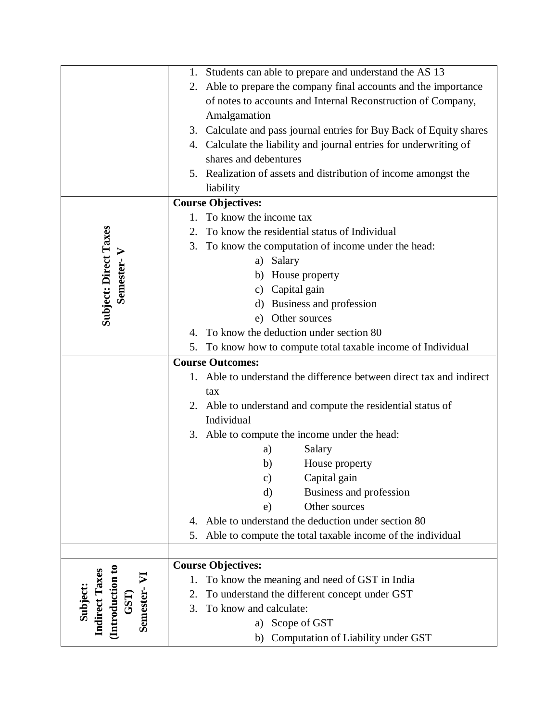|                                                                      |                         | 1. Students can able to prepare and understand the AS 13            |
|----------------------------------------------------------------------|-------------------------|---------------------------------------------------------------------|
|                                                                      | 2.                      | Able to prepare the company final accounts and the importance       |
|                                                                      |                         | of notes to accounts and Internal Reconstruction of Company,        |
|                                                                      |                         | Amalgamation                                                        |
|                                                                      |                         | 3. Calculate and pass journal entries for Buy Back of Equity shares |
|                                                                      |                         | 4. Calculate the liability and journal entries for underwriting of  |
|                                                                      |                         | shares and debentures                                               |
|                                                                      |                         | 5. Realization of assets and distribution of income amongst the     |
|                                                                      |                         | liability                                                           |
|                                                                      |                         | <b>Course Objectives:</b>                                           |
|                                                                      |                         | To know the income tax                                              |
|                                                                      | 2.                      | To know the residential status of Individual                        |
|                                                                      | 3.                      | To know the computation of income under the head:                   |
|                                                                      |                         | a) Salary                                                           |
| Subject: Direct Taxes<br>Semester-V                                  |                         | b) House property                                                   |
|                                                                      |                         | c) Capital gain                                                     |
|                                                                      |                         | Business and profession<br>$\rm d$                                  |
|                                                                      |                         | e) Other sources                                                    |
|                                                                      |                         | 4. To know the deduction under section 80                           |
|                                                                      | 5.                      | To know how to compute total taxable income of Individual           |
|                                                                      | <b>Course Outcomes:</b> |                                                                     |
|                                                                      |                         |                                                                     |
|                                                                      |                         | Able to understand the difference between direct tax and indirect   |
|                                                                      |                         | tax                                                                 |
|                                                                      |                         | 2. Able to understand and compute the residential status of         |
|                                                                      |                         | Individual                                                          |
|                                                                      |                         | 3. Able to compute the income under the head:                       |
|                                                                      |                         | Salary<br>a)                                                        |
|                                                                      |                         | House property<br>b)                                                |
|                                                                      |                         | Capital gain<br>$\mathbf{c})$                                       |
|                                                                      |                         | Business and profession<br>$\rm d$                                  |
|                                                                      |                         | Other sources<br>e)                                                 |
|                                                                      | 4.                      | Able to understand the deduction under section 80                   |
|                                                                      | 5.                      | Able to compute the total taxable income of the individual          |
|                                                                      |                         |                                                                     |
|                                                                      |                         | <b>Course Objectives:</b>                                           |
|                                                                      | 1.                      | To know the meaning and need of GST in India                        |
|                                                                      | 2.                      | To understand the different concept under GST                       |
| GST)                                                                 | 3.                      | To know and calculate:                                              |
| (Introduction to<br><b>Indirect Taxes</b><br>Semester-VI<br>Subject: |                         | a) Scope of GST<br>Computation of Liability under GST<br>b)         |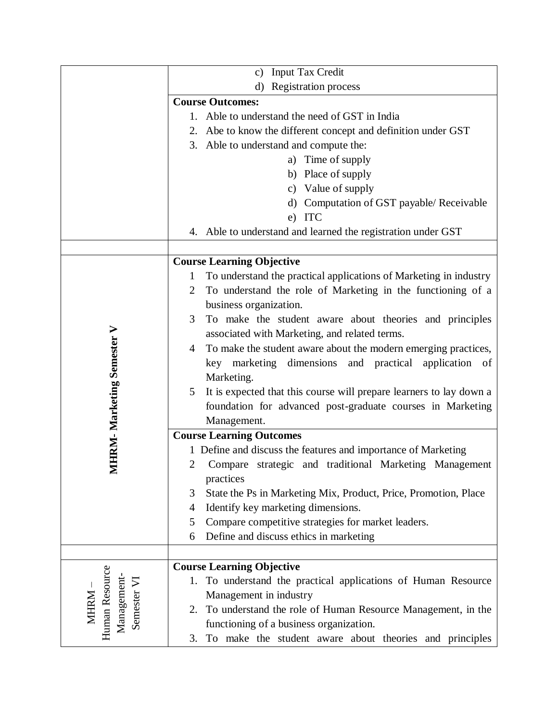|                                  | <b>Input Tax Credit</b><br>$\mathbf{c}$ )                                                         |  |
|----------------------------------|---------------------------------------------------------------------------------------------------|--|
|                                  | <b>Registration process</b><br>d)                                                                 |  |
|                                  | <b>Course Outcomes:</b>                                                                           |  |
|                                  | Able to understand the need of GST in India<br>1.                                                 |  |
|                                  | 2. Abe to know the different concept and definition under GST                                     |  |
|                                  | 3. Able to understand and compute the:                                                            |  |
|                                  | a) Time of supply                                                                                 |  |
|                                  | b) Place of supply                                                                                |  |
|                                  | c) Value of supply                                                                                |  |
|                                  | d) Computation of GST payable/ Receivable                                                         |  |
|                                  | e) ITC                                                                                            |  |
|                                  | 4. Able to understand and learned the registration under GST                                      |  |
|                                  |                                                                                                   |  |
|                                  | <b>Course Learning Objective</b>                                                                  |  |
|                                  | To understand the practical applications of Marketing in industry<br>1                            |  |
|                                  | To understand the role of Marketing in the functioning of a<br>$\overline{2}$                     |  |
|                                  | business organization.                                                                            |  |
|                                  | 3<br>To make the student aware about theories and principles                                      |  |
|                                  | associated with Marketing, and related terms.                                                     |  |
|                                  | To make the student aware about the modern emerging practices,<br>$\overline{4}$                  |  |
|                                  | key marketing dimensions and practical<br>application of                                          |  |
|                                  | Marketing.                                                                                        |  |
|                                  | It is expected that this course will prepare learners to lay down a<br>5                          |  |
|                                  | foundation for advanced post-graduate courses in Marketing                                        |  |
| <b>MHRM-Marketing Semester V</b> | Management.                                                                                       |  |
|                                  | <b>Course Learning Outcomes</b>                                                                   |  |
|                                  | 1 Define and discuss the features and importance of Marketing                                     |  |
|                                  | Compare strategic and traditional Marketing Management<br>2                                       |  |
|                                  | practices                                                                                         |  |
|                                  | State the Ps in Marketing Mix, Product, Price, Promotion, Place<br>3                              |  |
|                                  | Identify key marketing dimensions.<br>4                                                           |  |
|                                  | Compare competitive strategies for market leaders.<br>5                                           |  |
|                                  | Define and discuss ethics in marketing<br>6                                                       |  |
|                                  |                                                                                                   |  |
| Human Resource                   | <b>Course Learning Objective</b><br>1. To understand the practical applications of Human Resource |  |
| Management-<br>Semester VI       | Management in industry                                                                            |  |
|                                  | To understand the role of Human Resource Management, in the<br>2.                                 |  |
| <b>MHRM</b>                      | functioning of a business organization.                                                           |  |
|                                  | To make the student aware about theories and principles<br>3.                                     |  |
|                                  |                                                                                                   |  |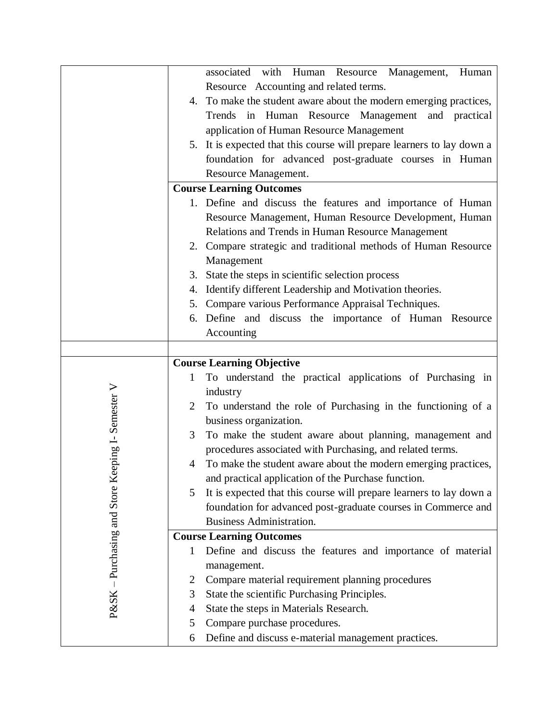|                                     |                | associated with Human Resource Management,<br>Human                                 |
|-------------------------------------|----------------|-------------------------------------------------------------------------------------|
|                                     |                | Resource Accounting and related terms.                                              |
|                                     |                | 4. To make the student aware about the modern emerging practices,                   |
|                                     |                | Trends in Human Resource Management and practical                                   |
|                                     |                | application of Human Resource Management                                            |
|                                     |                | 5. It is expected that this course will prepare learners to lay down a              |
|                                     |                |                                                                                     |
|                                     |                | foundation for advanced post-graduate courses in Human                              |
|                                     |                | Resource Management.                                                                |
|                                     |                | <b>Course Learning Outcomes</b>                                                     |
|                                     |                | 1. Define and discuss the features and importance of Human                          |
|                                     |                | Resource Management, Human Resource Development, Human                              |
|                                     |                | Relations and Trends in Human Resource Management                                   |
|                                     |                | 2. Compare strategic and traditional methods of Human Resource                      |
|                                     |                | Management                                                                          |
|                                     | 3.             | State the steps in scientific selection process                                     |
|                                     | 4.             | Identify different Leadership and Motivation theories.                              |
|                                     | 5.             | Compare various Performance Appraisal Techniques.                                   |
|                                     |                | 6. Define and discuss the importance of Human Resource                              |
|                                     |                | Accounting                                                                          |
|                                     |                |                                                                                     |
|                                     |                | <b>Course Learning Objective</b>                                                    |
|                                     | $\mathbf{1}$   | To understand the practical applications of Purchasing in                           |
|                                     |                | industry                                                                            |
|                                     | 2              | To understand the role of Purchasing in the functioning of a                        |
|                                     |                | business organization.                                                              |
|                                     | 3              | To make the student aware about planning, management and                            |
| eping I-Semester V                  |                | procedures associated with Purchasing, and related terms.                           |
|                                     | 4              | To make the student aware about the modern emerging practices,                      |
|                                     |                | and practical application of the Purchase function.                                 |
|                                     | 5              | It is expected that this course will prepare learners to lay down a                 |
|                                     |                | foundation for advanced post-graduate courses in Commerce and                       |
|                                     |                | <b>Business Administration.</b>                                                     |
|                                     |                | <b>Course Learning Outcomes</b>                                                     |
|                                     | 1              | Define and discuss the features and importance of material                          |
|                                     |                | management.                                                                         |
|                                     |                |                                                                                     |
|                                     |                |                                                                                     |
|                                     | $\overline{2}$ | Compare material requirement planning procedures                                    |
|                                     | 3              | State the scientific Purchasing Principles.                                         |
| $P\&SK - Purchasing$ and Store $Ke$ | 4              | State the steps in Materials Research.                                              |
|                                     | 5<br>6         | Compare purchase procedures.<br>Define and discuss e-material management practices. |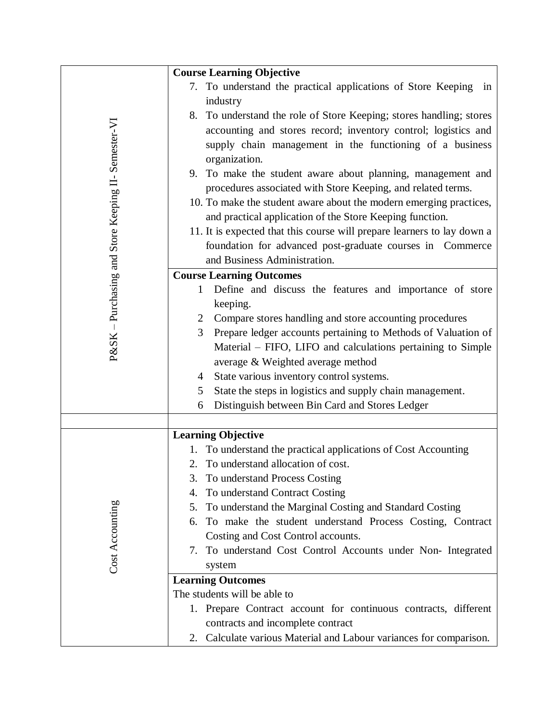|                                                     | <b>Course Learning Objective</b>                                               |
|-----------------------------------------------------|--------------------------------------------------------------------------------|
|                                                     | 7. To understand the practical applications of Store Keeping<br>in             |
|                                                     | industry                                                                       |
|                                                     | 8. To understand the role of Store Keeping; stores handling; stores            |
|                                                     | accounting and stores record; inventory control; logistics and                 |
|                                                     | supply chain management in the functioning of a business                       |
|                                                     | organization.                                                                  |
|                                                     | 9. To make the student aware about planning, management and                    |
|                                                     | procedures associated with Store Keeping, and related terms.                   |
|                                                     | 10. To make the student aware about the modern emerging practices,             |
|                                                     | and practical application of the Store Keeping function.                       |
|                                                     | 11. It is expected that this course will prepare learners to lay down a        |
|                                                     | foundation for advanced post-graduate courses in Commerce                      |
| P&SK - Purchasing and Store Keeping II- Semester-VI | and Business Administration.                                                   |
|                                                     | <b>Course Learning Outcomes</b>                                                |
|                                                     | Define and discuss the features and importance of store<br>$\mathbf{1}$        |
|                                                     | keeping.                                                                       |
|                                                     | Compare stores handling and store accounting procedures<br>2                   |
|                                                     | Prepare ledger accounts pertaining to Methods of Valuation of<br>3             |
|                                                     | Material - FIFO, LIFO and calculations pertaining to Simple                    |
|                                                     | average & Weighted average method                                              |
|                                                     | State various inventory control systems.<br>4                                  |
|                                                     | State the steps in logistics and supply chain management.<br>5                 |
|                                                     | Distinguish between Bin Card and Stores Ledger<br>6                            |
|                                                     |                                                                                |
|                                                     | <b>Learning Objective</b>                                                      |
|                                                     | 1. To understand the practical applications of Cost Accounting                 |
|                                                     | 2. To understand allocation of cost.                                           |
|                                                     | To understand Process Costing<br>3.                                            |
|                                                     | To understand Contract Costing<br>4.                                           |
|                                                     | To understand the Marginal Costing and Standard Costing<br>5.                  |
| Cost Accounting                                     | To make the student understand Process Costing, Contract<br>6.                 |
|                                                     | Costing and Cost Control accounts.                                             |
|                                                     | To understand Cost Control Accounts under Non-Integrated<br>7.                 |
|                                                     | system                                                                         |
|                                                     | <b>Learning Outcomes</b>                                                       |
|                                                     | The students will be able to                                                   |
|                                                     | Prepare Contract account for continuous contracts, different<br>$\mathbf{I}$ . |
|                                                     | contracts and incomplete contract                                              |
|                                                     | Calculate various Material and Labour variances for comparison.<br>2.          |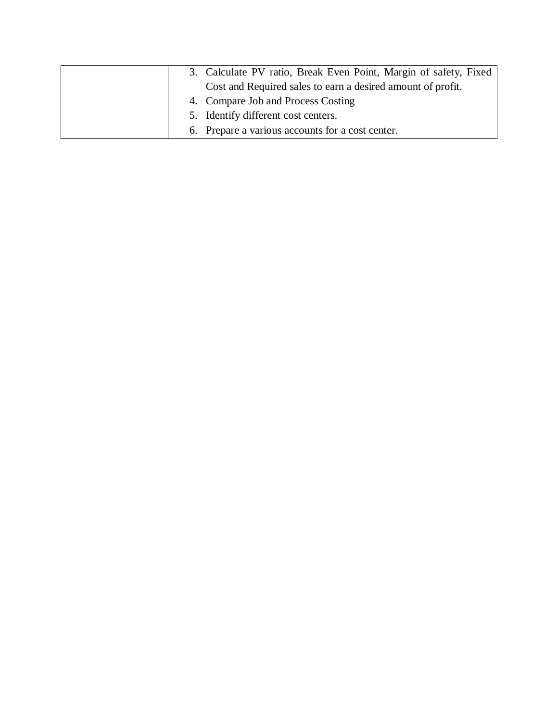|  | 3. Calculate PV ratio, Break Even Point, Margin of safety, Fixed |
|--|------------------------------------------------------------------|
|  | Cost and Required sales to earn a desired amount of profit.      |
|  | 4. Compare Job and Process Costing                               |
|  | 5. Identify different cost centers.                              |
|  | 6. Prepare a various accounts for a cost center.                 |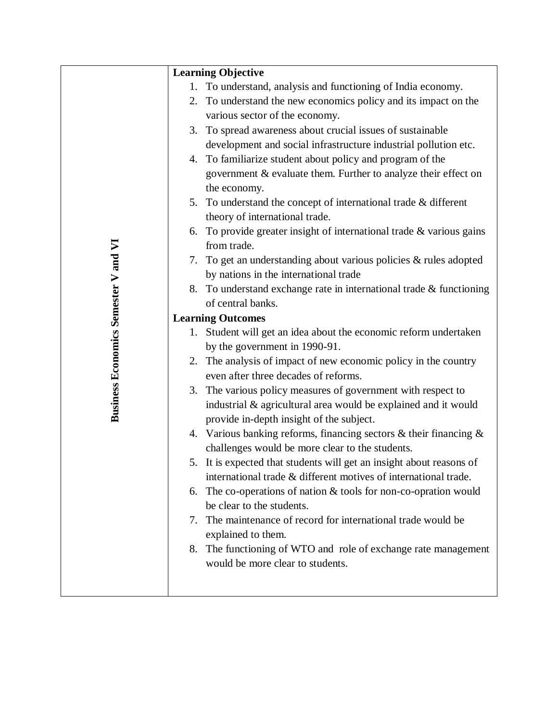|                                      |    | <b>Learning Objective</b>                                                                                  |
|--------------------------------------|----|------------------------------------------------------------------------------------------------------------|
|                                      | 1. | To understand, analysis and functioning of India economy.                                                  |
|                                      |    | 2. To understand the new economics policy and its impact on the                                            |
|                                      |    | various sector of the economy.                                                                             |
|                                      |    | 3. To spread awareness about crucial issues of sustainable                                                 |
|                                      |    | development and social infrastructure industrial pollution etc.                                            |
|                                      |    | 4. To familiarize student about policy and program of the                                                  |
|                                      |    | government & evaluate them. Further to analyze their effect on                                             |
|                                      |    | the economy.                                                                                               |
|                                      |    | 5. To understand the concept of international trade & different                                            |
|                                      |    | theory of international trade.                                                                             |
|                                      |    | 6. To provide greater insight of international trade $&$ various gains                                     |
|                                      |    | from trade.                                                                                                |
|                                      |    | 7. To get an understanding about various policies & rules adopted                                          |
|                                      |    | by nations in the international trade                                                                      |
|                                      |    | 8. To understand exchange rate in international trade & functioning                                        |
|                                      |    | of central banks.                                                                                          |
|                                      |    | <b>Learning Outcomes</b>                                                                                   |
|                                      |    | 1. Student will get an idea about the economic reform undertaken                                           |
|                                      |    | by the government in 1990-91.                                                                              |
|                                      |    | 2. The analysis of impact of new economic policy in the country                                            |
| Business Economics Semester V and VI |    | even after three decades of reforms.                                                                       |
|                                      |    | 3. The various policy measures of government with respect to                                               |
|                                      |    | industrial & agricultural area would be explained and it would<br>provide in-depth insight of the subject. |
|                                      |    | 4. Various banking reforms, financing sectors $\&$ their financing $\&$                                    |
|                                      |    | challenges would be more clear to the students.                                                            |
|                                      |    | 5. It is expected that students will get an insight about reasons of                                       |
|                                      |    | international trade & different motives of international trade.                                            |
|                                      | 6. | The co-operations of nation $&$ tools for non-co-opration would                                            |
|                                      |    | be clear to the students.                                                                                  |
|                                      |    | 7. The maintenance of record for international trade would be                                              |
|                                      |    | explained to them.                                                                                         |
|                                      |    | 8. The functioning of WTO and role of exchange rate management                                             |
|                                      |    | would be more clear to students.                                                                           |
|                                      |    |                                                                                                            |
|                                      |    |                                                                                                            |